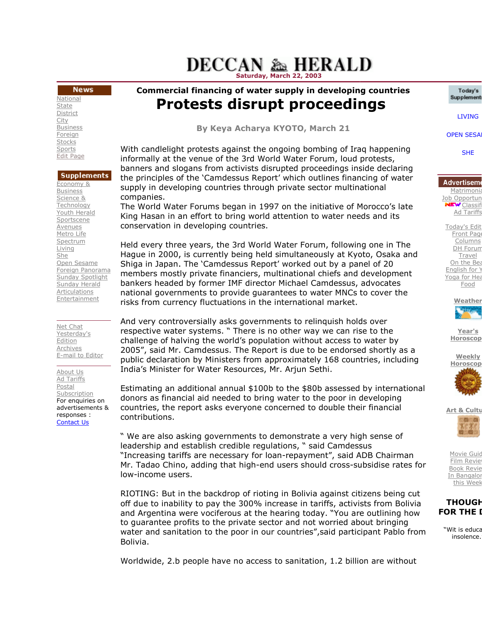# **DECCAN & HERALD** Saturday, March 22, 200

### **News**

**National State** District **City** Business **Foreign** Stocks **Sports** Edit Page

### **Supplements**

Economy & **Business** Science & Technology Youth Herald Sportscene Avenues Metro Life Spectrum Living She Open Sesame Foreign Panorama Sunday Spotlight Sunday Herald Articulations **Entertainment** 

#### Net Chat Yesterday's Edition Archives E-mail to Editor

About Us Ad Tariffs Postal Subscription For enquiries on advertisements & responses : Contact Us

Commercial financing of water supply in developing countries Protests disrupt proceedings inancing of water supply in developing<br>!StS disrupt proceedin<br>By Keya Acharya KYOTO, March 21

With candlelight protests against the ongoing bombing of Iraq happening informally at the venue of the 3rd World Water Forum, loud protests, Forum, loud protests, banners and slogans from activists disrupted proceedings inside declaring proceedings declaring the principles of the 'Camdessus Report' which outlines financing of water supply in developing countries through private sector multinational companies.

The World Water Forums began in 1997 on the initiative of Morocco's late King Hasan in an effort to bring world attention to water needs and its conservation in developing countries. supply in developing countries through private sector multinational<br>companies.<br>The World Water Forums began in 1997 on the initiative of Morocco's late<br>King Hasan in an effort to bring world attention to water needs and it

Held every three years, the 3rd World Water Forum, following one in The Shiga in Japan. The `Camdessus Report' worked out by a panel of 20 members mostly private financiers, multinational chiefs and development bankers headed by former IMF director Michael Camdessus, advocates national governments to provide guarantees to water MNCs to cover the risks from currency fluctuations in the international market. bankers headed by former IMF director Michael Camdessus, advocat<br>national governments to provide guarantees to water MNCs to cover<br>risks from currency fluctuations in the international market.<br>And very controversially asks Keya Acharya KYOTO, March 21<br>
subsidise rate of the 3rd World Water Forum, loud protests,<br>
of the 3rd World Water Forum, loud protests,<br>
and the first of the 3rd World Water Forum, loud protests,<br>
and the straining of wate

respective water systems. " There is no other way we can rise to the challenge of halving the world's population without access to water by 2005", said Mr. Camdessus. The Report is due to be endorsed shortly as a public declaration by Ministers from approximately 168 countries, including India's Minister for Water Resources, Mr. Arjun Sethi. ective water systems. " There is no other way we can rise to the<br>enge of halving the world's population without access to water by<br>", said Mr. Camdessus. The Report is due to be endorsed shortly a<br>c declaration by Minister

Estimating an additional annual \$100b to the \$80b assessed by international Estimating an additional annual \$100b to the \$80b assessed by interna!<br>donors as financial aid needed to bring water to the poor in developing countries, the report asks everyone concerned to double their financial contributions. countries, the report asks everyone concerned to double their financial<br>contributions.<br>" We are also asking governments to demonstrate a very high sense of

leadership and establish credible regulations, " said Camdessus "Increasing tariffs are necessary for loan-repayment", said ADB Chairman Mr. Tadao Chino, adding that high Chino, adding high-end users should cross-subsidise rates for low-income users.

low-income users.<br>RIOTING: But in the backdrop of rioting in Bolivia against citizens being cut off due to inability to pay the 300% increase in tariffs, activists from Bolivia and Argentina were vociferous at the hearing today. "You are outlining how to guarantee profits to the private sector and not worried about bringing and Argentina were vociferous at the hearing today. "You are outlining how<br>to guarantee profits to the private sector and not worried about bringing<br>water and sanitation to the poor in our countries",said participant Pablo Bolivia. members mostly private financiers, multinational chiefs and development<br>bankers headed by former IMF director Michael Camdessus, advocates<br>national governments to provide guarantees to water MNCs to cover the<br>risks from cu

Today's Supplement

**OPEN SESA** 

SHE

Matrimonia Job Opportun  $E_{\text{W}}$  Classif Ad Tariffs

Today's Edit **Front Page Columns** DH Forum **Travel** On the Bea English for Y Yoga for Hea Food

**Weather** 

Year's **Horoscop** 

**Weekly Horoscop** 



**Art & Cultu** 

Movie Guid Film Review **Book Revie** In Bangalor this Week

## **THOUGH FOR THE I**

"Wit is educa insolence.

Worldwide, 2.b people have no access to sanitation, 1.2 billion are without